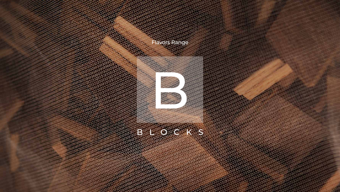